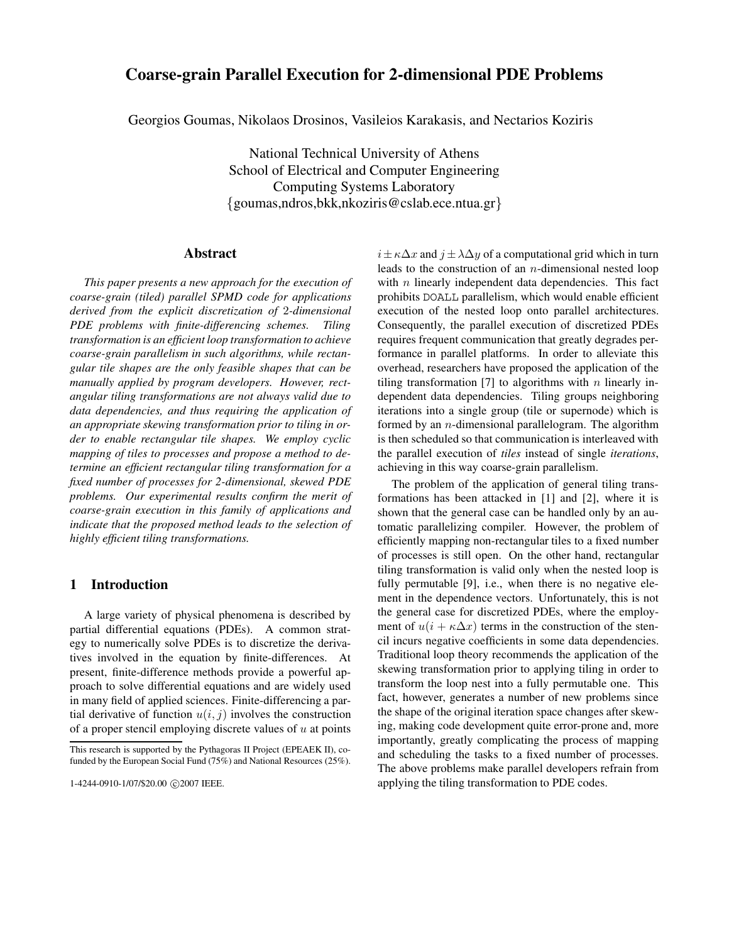# **Coarse-grain Parallel Execution for 2-dimensional PDE Problems**

Georgios Goumas, Nikolaos Drosinos, Vasileios Karakasis, and Nectarios Koziris

National Technical University of Athens School of Electrical and Computer Engineering Computing Systems Laboratory {goumas,ndros,bkk,nkoziris@cslab.ece.ntua.gr}

### **Abstract**

*This paper presents a new approach for the execution of coarse-grain (tiled) parallel SPMD code for applications derived from the explicit discretization of* 2*-dimensional PDE problems with finite-differencing schemes. Tiling transformation is an efficient loop transformation to achieve coarse-grain parallelism in such algorithms, while rectangular tile shapes are the only feasible shapes that can be manually applied by program developers. However, rectangular tiling transformations are not always valid due to data dependencies, and thus requiring the application of an appropriate skewing transformation prior to tiling in order to enable rectangular tile shapes. We employ cyclic mapping of tiles to processes and propose a method to determine an efficient rectangular tiling transformation for a fixed number of processes for 2-dimensional, skewed PDE problems. Our experimental results confirm the merit of coarse-grain execution in this family of applications and indicate that the proposed method leads to the selection of highly efficient tiling transformations.*

# **1 Introduction**

A large variety of physical phenomena is described by partial differential equations (PDEs). A common strategy to numerically solve PDEs is to discretize the derivatives involved in the equation by finite-differences. At present, finite-difference methods provide a powerful approach to solve differential equations and are widely used in many field of applied sciences. Finite-differencing a partial derivative of function  $u(i, j)$  involves the construction of a proper stencil employing discrete values of  $u$  at points

 $i\pm \kappa \Delta x$  and  $j\pm \lambda \Delta y$  of a computational grid which in turn leads to the construction of an  $n$ -dimensional nested loop with  $n$  linearly independent data dependencies. This fact prohibits DOALL parallelism, which would enable efficient execution of the nested loop onto parallel architectures. Consequently, the parallel execution of discretized PDEs requires frequent communication that greatly degrades performance in parallel platforms. In order to alleviate this overhead, researchers have proposed the application of the tiling transformation [7] to algorithms with  $n$  linearly independent data dependencies. Tiling groups neighboring iterations into a single group (tile or supernode) which is formed by an  $n$ -dimensional parallelogram. The algorithm is then scheduled so that communication is interleaved with the parallel execution of *tiles* instead of single *iterations*, achieving in this way coarse-grain parallelism.

The problem of the application of general tiling transformations has been attacked in [1] and [2], where it is shown that the general case can be handled only by an automatic parallelizing compiler. However, the problem of efficiently mapping non-rectangular tiles to a fixed number of processes is still open. On the other hand, rectangular tiling transformation is valid only when the nested loop is fully permutable [9], i.e., when there is no negative element in the dependence vectors. Unfortunately, this is not the general case for discretized PDEs, where the employment of  $u(i + \kappa \Delta x)$  terms in the construction of the stencil incurs negative coefficients in some data dependencies. Traditional loop theory recommends the application of the skewing transformation prior to applying tiling in order to transform the loop nest into a fully permutable one. This fact, however, generates a number of new problems since the shape of the original iteration space changes after skewing, making code development quite error-prone and, more importantly, greatly complicating the process of mapping and scheduling the tasks to a fixed number of processes. The above problems make parallel developers refrain from applying the tiling transformation to PDE codes.

This research is supported by the Pythagoras II Project (EPEAEK II), cofunded by the European Social Fund (75%) and National Resources (25%).

<sup>1-4244-0910-1/07/\$20.00 @2007</sup> IEEE.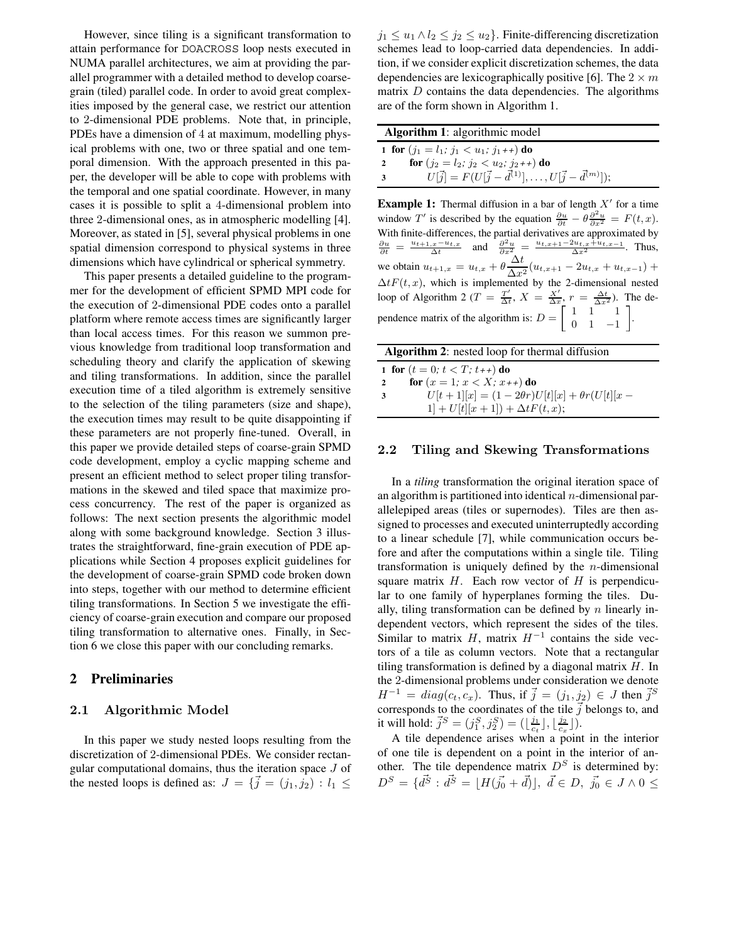However, since tiling is a significant transformation to attain performance for DOACROSS loop nests executed in NUMA parallel architectures, we aim at providing the parallel programmer with a detailed method to develop coarsegrain (tiled) parallel code. In order to avoid great complexities imposed by the general case, we restrict our attention to 2-dimensional PDE problems. Note that, in principle, PDEs have a dimension of 4 at maximum, modelling physical problems with one, two or three spatial and one temporal dimension. With the approach presented in this paper, the developer will be able to cope with problems with the temporal and one spatial coordinate. However, in many cases it is possible to split a 4-dimensional problem into three 2-dimensional ones, as in atmospheric modelling [4]. Moreover, as stated in [5], several physical problems in one spatial dimension correspond to physical systems in three dimensions which have cylindrical or spherical symmetry.

This paper presents a detailed guideline to the programmer for the development of efficient SPMD MPI code for the execution of 2-dimensional PDE codes onto a parallel platform where remote access times are significantly larger than local access times. For this reason we summon previous knowledge from traditional loop transformation and scheduling theory and clarify the application of skewing and tiling transformations. In addition, since the parallel execution time of a tiled algorithm is extremely sensitive to the selection of the tiling parameters (size and shape), the execution times may result to be quite disappointing if these parameters are not properly fine-tuned. Overall, in this paper we provide detailed steps of coarse-grain SPMD code development, employ a cyclic mapping scheme and present an efficient method to select proper tiling transformations in the skewed and tiled space that maximize process concurrency. The rest of the paper is organized as follows: The next section presents the algorithmic model along with some background knowledge. Section 3 illustrates the straightforward, fine-grain execution of PDE applications while Section 4 proposes explicit guidelines for the development of coarse-grain SPMD code broken down into steps, together with our method to determine efficient tiling transformations. In Section 5 we investigate the efficiency of coarse-grain execution and compare our proposed tiling transformation to alternative ones. Finally, in Section 6 we close this paper with our concluding remarks.

### **2 Preliminaries**

### **2.1 Algorithmic Model**

In this paper we study nested loops resulting from the discretization of 2-dimensional PDEs. We consider rectangular computational domains, thus the iteration space J of the nested loops is defined as:  $J = \{ \vec{j} = (j_1, j_2) : l_1 \leq$ 

 $j_1 \leq u_1 \wedge l_2 \leq j_2 \leq u_2$ . Finite-differencing discretization schemes lead to loop-carried data dependencies. In addition, if we consider explicit discretization schemes, the data dependencies are lexicographically positive [6]. The  $2 \times m$ matrix  $D$  contains the data dependencies. The algorithms are of the form shown in Algorithm 1.

| <b>Algorithm 1:</b> algorithmic model      |                                                                                   |
|--------------------------------------------|-----------------------------------------------------------------------------------|
| 1 for $(j_1 = l_1; j_1 < u_1; j_1 + 1)$ do |                                                                                   |
| 2                                          | <b>for</b> $(j_2 = l_2; j_2 < u_2; j_2 + 1)$ <b>do</b>                            |
| -3                                         | $U[\vec{j}] = F(U[\vec{j} - \vec{d}^{(1)}], \ldots, U[\vec{j} - \vec{d}^{(m)}]);$ |
|                                            |                                                                                   |

**Example 1:** Thermal diffusion in a bar of length  $X'$  for a time window T' is described by the equation  $\frac{\partial u}{\partial t} - \theta \frac{\partial^2 u}{\partial x^2} = F(t, x)$ . With finite-differences, the partial derivatives are approximated by  $\frac{\partial u}{\partial t} = \frac{u_{t+1,x}-u_{t,x}}{\Delta t}$  and  $\frac{\partial^2 u}{\partial x^2} = \frac{u_{t,x+1}-2u_{t,x}+u_{t,x-1}}{\Delta x^2}$ . Thus, we obtain  $u_{t+1,x} = u_{t,x} + \theta \frac{\Delta t}{\Delta x^2} (u_{t,x+1} - 2u_{t,x} + u_{t,x-1}) +$  $\Delta t F(t, x)$ , which is implemented by the 2-dimensional nested loop of Algorithm 2 ( $T = \frac{T'}{\Delta t}$ ,  $X = \frac{X'}{\Delta x}$ ,  $r = \frac{\Delta t}{\Delta x^2}$ ). The dependence matrix of the algorithm is:  $D = \begin{bmatrix} 1 & 1 & 1 \\ 0 & 1 & -1 \end{bmatrix}$ .

| <b>Algorithm 2:</b> nested loop for thermal diffusion |                                                        |
|-------------------------------------------------------|--------------------------------------------------------|
|                                                       | 1 for $(t = 0; t < T; t_{+})$ do                       |
| $\overline{2}$                                        | for $(x = 1; x < X; x++)$ do                           |
| 3                                                     | $U[t+1][x] = (1-2\theta r)U[t][x] + \theta r(U[t][x -$ |
|                                                       | $1] + U[t][x + 1]) + \Delta t F(t, x);$                |

#### **2.2 Tiling and Skewing Transformations**

In a *tiling* transformation the original iteration space of an algorithm is partitioned into identical  $n$ -dimensional parallelepiped areas (tiles or supernodes). Tiles are then assigned to processes and executed uninterruptedly according to a linear schedule [7], while communication occurs before and after the computations within a single tile. Tiling transformation is uniquely defined by the  $n$ -dimensional square matrix  $H$ . Each row vector of  $H$  is perpendicular to one family of hyperplanes forming the tiles. Dually, tiling transformation can be defined by  $n$  linearly independent vectors, which represent the sides of the tiles. Similar to matrix  $H$ , matrix  $H^{-1}$  contains the side vectors of a tile as column vectors. Note that a rectangular tiling transformation is defined by a diagonal matrix  $H$ . In the 2-dimensional problems under consideration we denote  $H^{-1} = diag(c_t, c_x)$ . Thus, if  $\vec{j} = (j_1, j_2) \in J$  then  $\vec{j}^S$ corresponds to the coordinates of the tile  $\vec{j}$  belongs to, and it will hold:  $\vec{j}^S = (j_1^S, j_2^S) = (\lfloor \frac{j_1}{c_t} \rfloor, \lfloor \frac{j_2}{c_x} \rfloor)$ .

A tile dependence arises when a point in the interior of one tile is dependent on a point in the interior of another. The tile dependence matrix  $D<sup>S</sup>$  is determined by:  $D^{S} = \{d^{\vec{S}} : d^{\vec{S}} = [H(\vec{j}_{0} + \vec{d})], \ \vec{d} \in D, \ \vec{j}_{0} \in J \wedge 0 \leq$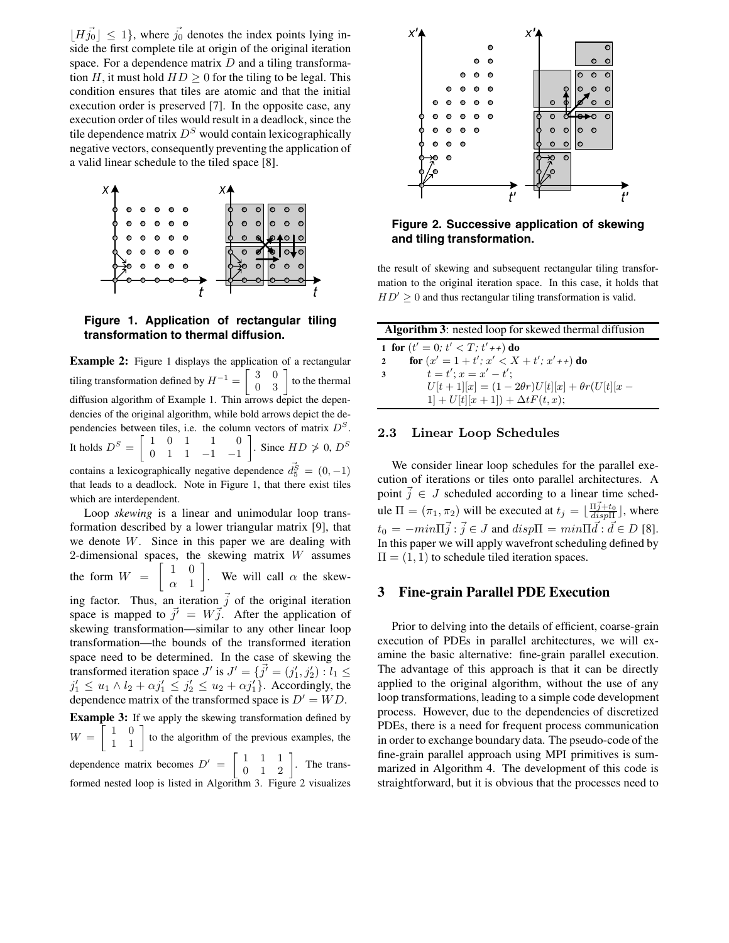$\lfloor H \vec{j_0} \rfloor \leq 1$ , where  $\vec{j_0}$  denotes the index points lying inside the first complete tile at origin of the original iteration space. For a dependence matrix  $D$  and a tiling transformation H, it must hold  $HD \geq 0$  for the tiling to be legal. This condition ensures that tiles are atomic and that the initial execution order is preserved [7]. In the opposite case, any execution order of tiles would result in a deadlock, since the tile dependence matrix  $D<sup>S</sup>$  would contain lexicographically negative vectors, consequently preventing the application of a valid linear schedule to the tiled space [8].



# **Figure 1. Application of rectangular tiling transformation to thermal diffusion.**

**Example 2:** Figure 1 displays the application of a rectangular tiling transformation defined by  $H^{-1} = \begin{bmatrix} 3 & 0 \\ 0 & 3 \end{bmatrix}$  to the thermal diffusion algorithm of Example 1. Thin arrows depict the dependencies of the original algorithm, while bold arrows depict the dependencies between tiles, i.e. the column vectors of matrix  $D<sup>S</sup>$ . It holds  $D^S = \begin{bmatrix} 1 & 0 & 1 & 1 & 0 \\ 0 & 1 & 1 & -1 & -1 \end{bmatrix}$ . Since  $HD \ge 0, D^S$ contains a lexicographically negative dependence  $\vec{d}_5^{\vec{S}} = (0, -1)$ that leads to a deadlock. Note in Figure 1, that there exist tiles which are interdependent. Loop *skewing* is a linear and unimodular loop trans-

formation described by a lower triangular matrix [9], that we denote W. Since in this paper we are dealing with 2-dimensional spaces, the skewing matrix  $W$  assumes the form  $W = \begin{bmatrix} 1 & 0 \\ 0 & 1 \end{bmatrix}$  $\alpha$  1 ]. We will call  $\alpha$  the skewing factor. Thus, an iteration  $\vec{j}$  of the original iteration space is mapped to  $\vec{j'} = W\vec{j}$ . After the application of skewing transformation—similar to any other linear loop transformation—the bounds of the transformed iteration space need to be determined. In the case of skewing the transformed iteration space  $J'$  is  $J' = \{j' = (j'_1, j'_2) : l_1 \le$  $j_1' \leq u_1 \wedge l_2 + \alpha j_1' \leq j_2' \leq u_2 + \alpha j_1'$ . Accordingly, the dependence matrix of the transformed space is  $D' = WD$ . **Example 3:** If we apply the skewing transformation defined by  $W = \begin{bmatrix} 1 & 0 \\ 1 & 1 \end{bmatrix}$  to the algorithm of the previous examples, the dependence matrix becomes  $D' = \begin{bmatrix} 1 & 1 & 1 \\ 0 & 1 & 2 \end{bmatrix}$ . The transformed nested loop is listed in Algorithm 3. Figure 2 visualizes



### **Figure 2. Successive application of skewing and tiling transformation.**

the result of skewing and subsequent rectangular tiling transformation to the original iteration space. In this case, it holds that  $HD' \geq 0$  and thus rectangular tiling transformation is valid.

| <b>Algorithm 3:</b> nested loop for skewed thermal diffusion |  |
|--------------------------------------------------------------|--|
| 1 for $(t' = 0; t' < T; t' + t)$ do                          |  |
| for $(x' = 1 + t'; x' < X + t'; x' + t)$ do<br>$\mathbf{2}$  |  |
| $t = t'$ : $x = x' - t'$ :                                   |  |
| $U[t+1][x] = (1-2\theta r)U[t][x] + \theta r(U[t][x -$       |  |
| $1 + U[t][x + 1]) + \Delta t F(t, x);$                       |  |

#### **2.3 Linear Loop Schedules**

We consider linear loop schedules for the parallel execution of iterations or tiles onto parallel architectures. A point  $\overline{j} \in J$  scheduled according to a linear time schedule  $\Pi = (\pi_1, \pi_2)$  will be executed at  $t_j = \lfloor \frac{\Pi j + t_0}{disp \Pi} \rfloor$ , where  $t_0 = -min \Pi \vec{j} : \vec{j} \in J$  and  $disp\Pi = min \Pi \vec{d} : \vec{d} \in D$  [8]. In this paper we will apply wavefront scheduling defined by  $\Pi = (1, 1)$  to schedule tiled iteration spaces.

# **3 Fine-grain Parallel PDE Execution**

Prior to delving into the details of efficient, coarse-grain execution of PDEs in parallel architectures, we will examine the basic alternative: fine-grain parallel execution. The advantage of this approach is that it can be directly applied to the original algorithm, without the use of any loop transformations, leading to a simple code development process. However, due to the dependencies of discretized PDEs, there is a need for frequent process communication in order to exchange boundary data. The pseudo-code of the fine-grain parallel approach using MPI primitives is summarized in Algorithm 4. The development of this code is straightforward, but it is obvious that the processes need to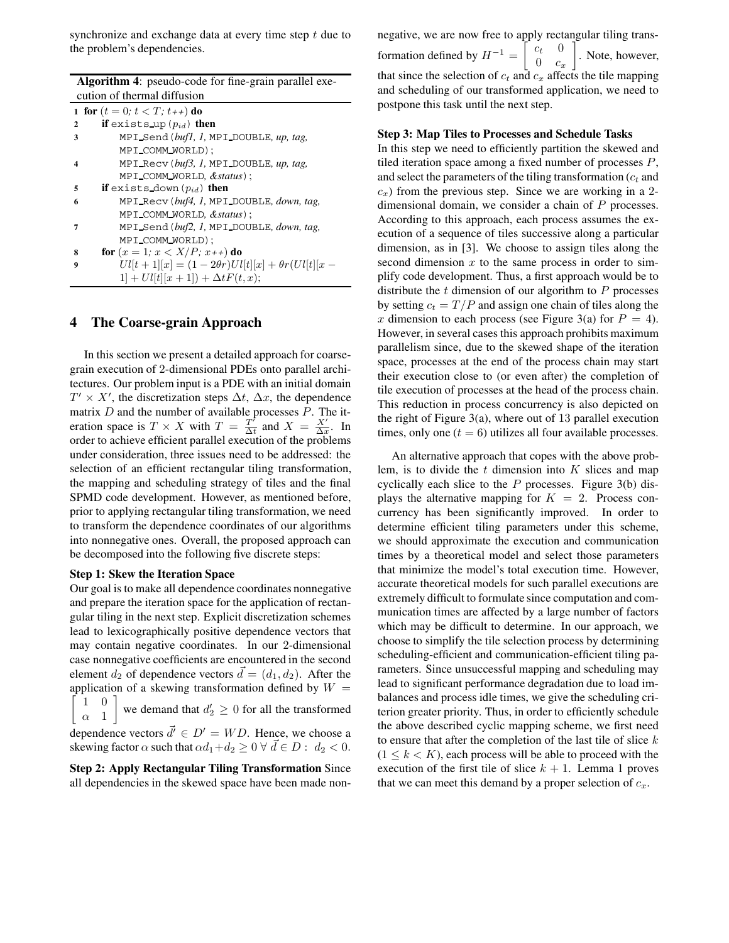synchronize and exchange data at every time step  $t$  due to the problem's dependencies.

| <b>Algorithm 4:</b> pseudo-code for fine-grain parallel exe- |                                                          |  |
|--------------------------------------------------------------|----------------------------------------------------------|--|
| cution of thermal diffusion                                  |                                                          |  |
|                                                              | 1 for $(t = 0; t < T; t++)$ do                           |  |
| $\mathbf{2}$                                                 | if exists up $(p_{id})$ then                             |  |
| 3                                                            | MPI_Send(bufl, l, MPI_DOUBLE, up, tag,                   |  |
|                                                              | MPI_COMM_WORLD);                                         |  |
| 4                                                            | MPI Recv $(buf3, 1, MPI$ DOUBLE, up, tag,                |  |
|                                                              | MPI_COMM_WORLD, &status);                                |  |
| 5                                                            | if exists down $(p_{id})$ then                           |  |
| 6                                                            | MPI_Recv(buf4, 1, MPI_DOUBLE, down, tag,                 |  |
|                                                              | MPI_COMM_WORLD, &status);                                |  |
| 7                                                            | MPI_Send(buf2, I, MPI_DOUBLE, down, tag,                 |  |
|                                                              | MPI_COMM_WORLD);                                         |  |
| 8                                                            | for $(x = 1; x < X/P; x++)$ do                           |  |
| 9                                                            | $U[l+1][x] = (1 - 2\theta r)U[l][x] + \theta r(U[l][x -$ |  |
|                                                              | $1 + U[l[x + 1]) + \Delta t F(t, x);$                    |  |

# **4 The Coarse-grain Approach**

In this section we present a detailed approach for coarsegrain execution of 2-dimensional PDEs onto parallel architectures. Our problem input is a PDE with an initial domain  $T' \times X'$ , the discretization steps  $\Delta t$ ,  $\Delta x$ , the dependence matrix  $D$  and the number of available processes  $P$ . The iteration space is  $T \times X$  with  $T = \frac{T'}{\Delta t}$  and  $X = \frac{X'}{\Delta x}$ . In order to achieve efficient parallel execution of the problems under consideration, three issues need to be addressed: the selection of an efficient rectangular tiling transformation, the mapping and scheduling strategy of tiles and the final SPMD code development. However, as mentioned before, prior to applying rectangular tiling transformation, we need to transform the dependence coordinates of our algorithms into nonnegative ones. Overall, the proposed approach can be decomposed into the following five discrete steps:

#### **Step 1: Skew the Iteration Space**

Our goal is to make all dependence coordinates nonnegative and prepare the iteration space for the application of rectangular tiling in the next step. Explicit discretization schemes lead to lexicographically positive dependence vectors that may contain negative coordinates. In our 2-dimensional case nonnegative coefficients are encountered in the second element  $d_2$  of dependence vectors  $\vec{d} = (d_1, d_2)$ . After the application of a skewing transformation defined by  $W =$ f  $1$  $\alpha$  1  $\overline{0}$ we demand that  $d'_2 \geq 0$  for all the transformed dependence vectors  $\vec{d'} \in D' = WD$ . Hence, we choose a skewing factor  $\alpha$  such that  $\alpha d_1 + d_2 \geq 0 \ \forall \ \vec{d} \in D: d_2 < 0$ .

**Step 2: Apply Rectangular Tiling Transformation** Since all dependencies in the skewed space have been made non-

negative, we are now free to apply rectangular tiling transformation defined by  $H^{-1} = \begin{bmatrix} c_t & 0 \\ 0 & c_t \end{bmatrix}$  $0 \quad c_x$ . Note, however, that since the selection of  $c_t$  and  $c_x$  affects the tile mapping and scheduling of our transformed application, we need to postpone this task until the next step.

#### **Step 3: Map Tiles to Processes and Schedule Tasks**

In this step we need to efficiently partition the skewed and tiled iteration space among a fixed number of processes  $P$ , and select the parameters of the tiling transformation  $(c_t)$  and  $c<sub>x</sub>$ ) from the previous step. Since we are working in a 2dimensional domain, we consider a chain of P processes. According to this approach, each process assumes the execution of a sequence of tiles successive along a particular dimension, as in [3]. We choose to assign tiles along the second dimension  $x$  to the same process in order to simplify code development. Thus, a first approach would be to distribute the  $t$  dimension of our algorithm to  $P$  processes by setting  $c_t = T/P$  and assign one chain of tiles along the x dimension to each process (see Figure 3(a) for  $P = 4$ ). However, in several cases this approach prohibits maximum parallelism since, due to the skewed shape of the iteration space, processes at the end of the process chain may start their execution close to (or even after) the completion of tile execution of processes at the head of the process chain. This reduction in process concurrency is also depicted on the right of Figure 3(a), where out of 13 parallel execution times, only one  $(t = 6)$  utilizes all four available processes.

An alternative approach that copes with the above problem, is to divide the  $t$  dimension into  $K$  slices and map cyclically each slice to the  $P$  processes. Figure 3(b) displays the alternative mapping for  $K = 2$ . Process concurrency has been significantly improved. In order to determine efficient tiling parameters under this scheme, we should approximate the execution and communication times by a theoretical model and select those parameters that minimize the model's total execution time. However, accurate theoretical models for such parallel executions are extremely difficult to formulate since computation and communication times are affected by a large number of factors which may be difficult to determine. In our approach, we choose to simplify the tile selection process by determining scheduling-efficient and communication-efficient tiling parameters. Since unsuccessful mapping and scheduling may lead to significant performance degradation due to load imbalances and process idle times, we give the scheduling criterion greater priority. Thus, in order to efficiently schedule the above described cyclic mapping scheme, we first need to ensure that after the completion of the last tile of slice  $k$  $(1 \leq k < K)$ , each process will be able to proceed with the execution of the first tile of slice  $k + 1$ . Lemma 1 proves that we can meet this demand by a proper selection of  $c_x$ .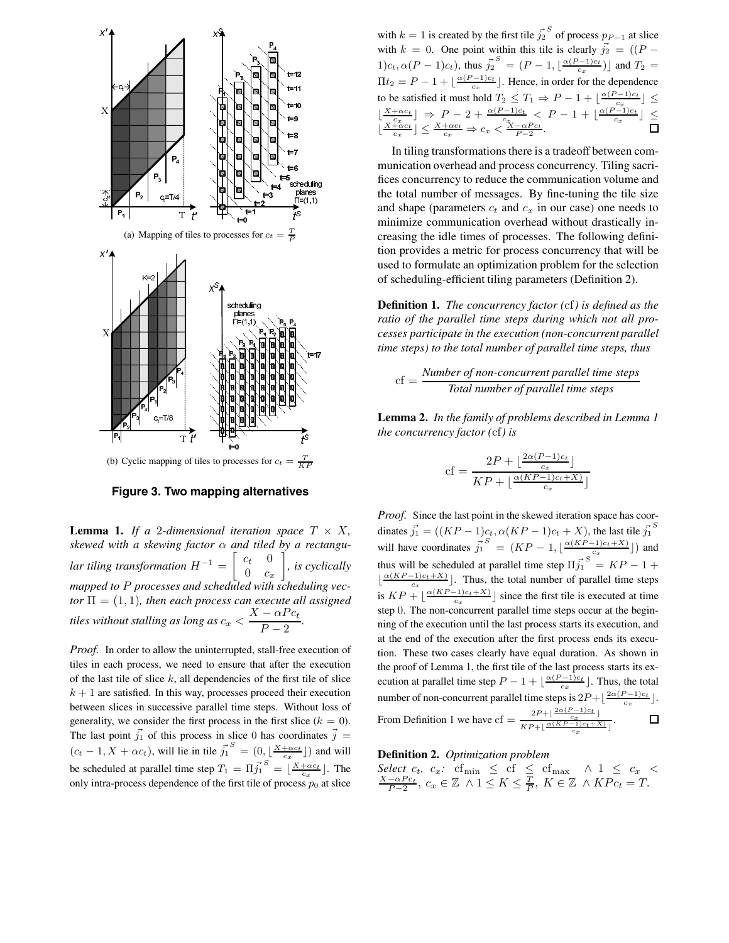

**Figure 3. Two mapping alternatives**

**Lemma 1.** *If a* 2-dimensional iteration space  $T \times X$ , *skewed with a skewing factor* α *and tiled by a rectangular tiling transformation*  $H^{-1} = \begin{bmatrix} c_t & 0 \\ 0 & c_t \end{bmatrix}$  $0 \quad c_x$ - *, is cyclically mapped to* P *processes and scheduled with scheduling vec* $tor \Pi = (1, 1)$ *, then each process can execute all assigned tiles without stalling as long as*  $c_x < \frac{X - \alpha P c_t}{P - 2}$ .

*Proof.* In order to allow the uninterrupted, stall-free execution of tiles in each process, we need to ensure that after the execution of the last tile of slice  $k$ , all dependencies of the first tile of slice  $k + 1$  are satisfied. In this way, processes proceed their execution between slices in successive parallel time steps. Without loss of generality, we consider the first process in the first slice ( $k = 0$ ). The last point  $\vec{j_1}$  of this process in slice 0 has coordinates  $\vec{j}$  =  $(c_t - 1, X + \alpha c_t)$ , will lie in tile  $\vec{j_1}$  $S = (0, \lfloor \frac{X + \alpha c_t}{c_x} \rfloor)$  and will be scheduled at parallel time step  $T_1 = \Pi \vec{j_1}$  $S = \left[ \frac{X + \alpha c_t}{c_x} \right]$ . The only intra-process dependence of the first tile of process  $p_0$  at slice

with  $k = 1$  is created by the first tile  $\vec{j_2}$  $S$  of process  $p_{P-1}$  at slice with  $k = 0$ . One point within this tile is clearly  $\vec{j}_2 = ((P 1)c_t, \alpha(P-1)c_t$ ), thus  $\vec{j_2}$  $S = (P - 1, \lfloor \frac{\alpha (P - 1)c_t}{c_x} \rfloor)$  and  $T_2 =$  $\Pi t_2 = P - 1 + \left[ \frac{\alpha (P - 1)c_t}{c_x} \right]$ . Hence, in order for the dependence to be satisfied it must hold  $T_2 \leq T_1 \Rightarrow P - 1 + \lfloor \frac{\alpha(P-1)c_t}{c_x} \rfloor \leq$  $\lfloor \frac{X + \alpha c_t}{c_x} \rfloor \Rightarrow P - 2 + \frac{\alpha (P - 1)c_t}{c_x} < P - 1 + \lfloor \frac{\alpha (P - 1)c_t}{c_x} \rfloor \le \frac{X + \alpha c_t}{c_x} \Rightarrow c_x < \frac{X - \alpha P c_t}{P - 2}.$ 

In tiling transformations there is a tradeoff between communication overhead and process concurrency. Tiling sacrifices concurrency to reduce the communication volume and the total number of messages. By fine-tuning the tile size and shape (parameters  $c_t$  and  $c_x$  in our case) one needs to minimize communication overhead without drastically increasing the idle times of processes. The following definition provides a metric for process concurrency that will be used to formulate an optimization problem for the selection of scheduling-efficient tiling parameters (Definition 2).

**Definition 1.** *The concurrency factor (*cf*) is defined as the ratio of the parallel time steps during which not all processes participate in the execution (non-concurrent parallel time steps) to the total number of parallel time steps, thus*

$$
cf = \frac{Number\ of\ non-concurrent\ parallel\ time\ steps}{Total\ number\ of\ parallel\ time\ steps}
$$

**Lemma 2.** *In the family of problems described in Lemma 1 the concurrency factor (*cf*) is*

$$
cf = \frac{2P + \lfloor \frac{2\alpha(P-1)c_t}{c_x} \rfloor}{KP + \lfloor \frac{\alpha(KP-1)c_t + X}{c_x} \rfloor}
$$

*Proof.* Since the last point in the skewed iteration space has coor-S dinates  $\vec{j_1} = ((KP-1)c_t, \alpha (KP-1)c_t + X)$ , the last tile  $\vec{j_1}$ will have coordinates  $\vec{j_1}$  $S = (KP-1, \lfloor \frac{\alpha (KP-1)c_t+X}{c_x} \rfloor)$  and thus will be scheduled at parallel time step  $\Pi \vec{j_1}$  $S = KP - 1 +$  $\lfloor \frac{\alpha(KP-1)c_t+X}{c_x} \rfloor$ . Thus, the total number of parallel time steps is  $KP + \left\lfloor \frac{\alpha (KP-1)c_t+X}{c_x} \right\rfloor$  since the first tile is executed at time step 0. The non-concurrent parallel time steps occur at the beginning of the execution until the last process starts its execution, and at the end of the execution after the first process ends its execution. These two cases clearly have equal duration. As shown in the proof of Lemma 1, the first tile of the last process starts its execution at parallel time step  $P - 1 + \lfloor \frac{\alpha (P - 1)c_t}{c_x} \rfloor$ . Thus, the total number of non-concurrent parallel time steps is  $2P + \lfloor \frac{2\alpha(P-1)c_t}{c_x} \rfloor$ . From Definition 1 we have  $cf = \frac{2P + \left(\frac{2\alpha (P-1)c_t}{c_x}\right)}{\sum_{x \in \mathcal{X}} \alpha (KP-1)c_t + \lambda}$  $\Box$ .  $KP+\lfloor \frac{\alpha(KP-1)c_t+X)}{c_x} \rfloor$ 

### **Definition 2.** *Optimization problem*

Select 
$$
c_t
$$
,  $c_x$ :  $\text{cf}_{\min} \leq \text{cf} \leq \text{cf}_{\max} \land 1 \leq c_x < \frac{X - \alpha P c_t}{P - 2}$ ,  $c_x \in \mathbb{Z} \land 1 \leq K \leq \frac{T}{P}$ ,  $K \in \mathbb{Z} \land KPc_t = T$ .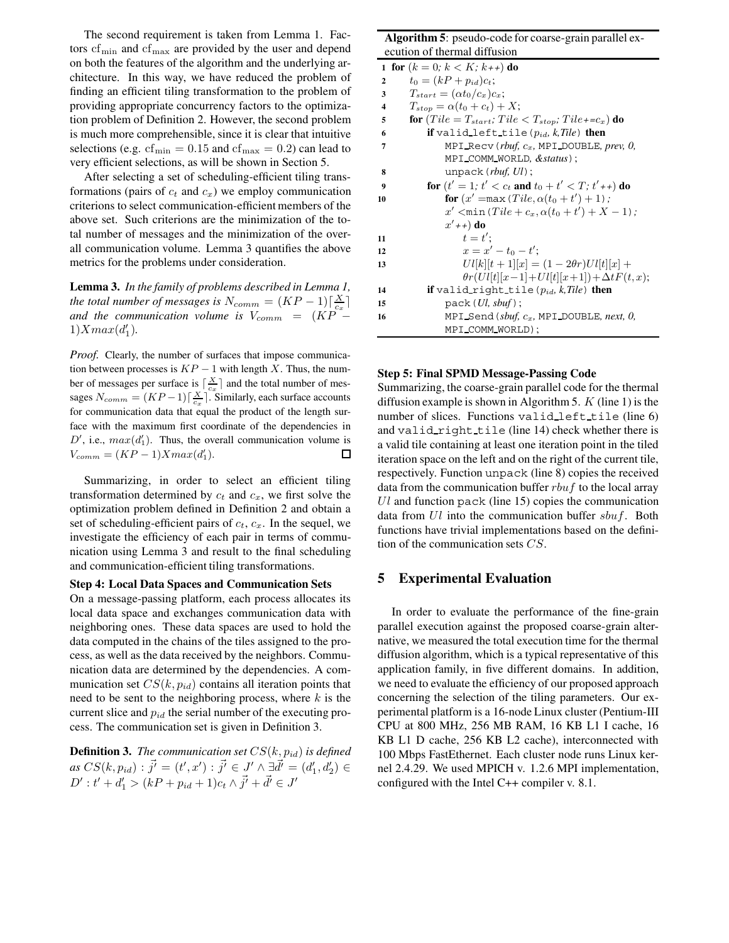The second requirement is taken from Lemma 1. Factors  $cf_{\text{min}}$  and  $cf_{\text{max}}$  are provided by the user and depend on both the features of the algorithm and the underlying architecture. In this way, we have reduced the problem of finding an efficient tiling transformation to the problem of providing appropriate concurrency factors to the optimization problem of Definition 2. However, the second problem is much more comprehensible, since it is clear that intuitive selections (e.g.  $cf_{\text{min}} = 0.15$  and  $cf_{\text{max}} = 0.2$ ) can lead to very efficient selections, as will be shown in Section 5.

After selecting a set of scheduling-efficient tiling transformations (pairs of  $c_t$  and  $c_x$ ) we employ communication criterions to select communication-efficient members of the above set. Such criterions are the minimization of the total number of messages and the minimization of the overall communication volume. Lemma 3 quantifies the above metrics for the problems under consideration.

**Lemma 3.** *In the family of problems described in Lemma 1, the total number of messages is*  $N_{comm} = (KP-1)\lceil \frac{X}{c_x} \rceil$ *and the communication volume is*  $V_{comm} = (KP 1) X max(d'_1).$ 

*Proof.* Clearly, the number of surfaces that impose communication between processes is  $KP-1$  with length X. Thus, the number of messages per surface is  $\lceil \frac{X}{c_x} \rceil$  and the total number of messages  $N_{comm} = (KP-1) \lceil \frac{X}{c_x} \rceil$ . Similarly, each surface accounts for communication data that equal the product of the length surface with the maximum first coordinate of the dependencies in  $D'$ , i.e.,  $max(d'_1)$ . Thus, the overall communication volume is  $V_{comm} = (KP-1)Xmax(d'_1).$ 口

Summarizing, in order to select an efficient tiling transformation determined by  $c_t$  and  $c_x$ , we first solve the optimization problem defined in Definition 2 and obtain a set of scheduling-efficient pairs of  $c_t$ ,  $c_x$ . In the sequel, we investigate the efficiency of each pair in terms of communication using Lemma 3 and result to the final scheduling and communication-efficient tiling transformations.

#### **Step 4: Local Data Spaces and Communication Sets**

On a message-passing platform, each process allocates its local data space and exchanges communication data with neighboring ones. These data spaces are used to hold the data computed in the chains of the tiles assigned to the process, as well as the data received by the neighbors. Communication data are determined by the dependencies. A communication set  $CS(k, p_{id})$  contains all iteration points that need to be sent to the neighboring process, where  $k$  is the current slice and  $p_{id}$  the serial number of the executing process. The communication set is given in Definition 3.

**Definition 3.** *The communication set*  $CS(k, p_{id})$  *is defined*  $as\; CS(k, p_{id}) : \vec{j'} = (t', x') : \vec{j'} \in \mathcal{J'} \wedge \exists \vec{d'} = (d'_1, d'_2) \in$  $D' : t' + d'_1 > (kP + p_{id} + 1)c_t \wedge \vec{j'} + \vec{d'} \in J'$ 

# **Algorithm 5**: pseudo-code for coarse-grain parallel execution of thermal diffusion

| ecution of thermal diffusion |                                                                   |
|------------------------------|-------------------------------------------------------------------|
|                              | 1 for $(k = 0; k < K; k_{++})$ do                                 |
| $\mathbf{2}$                 | $t_0 = (kP + p_{id})c_t;$                                         |
| 3                            | $T_{start} = (\alpha t_0/c_x)c_x;$                                |
| 4                            | $T_{stop} = \alpha(t_0 + c_t) + X;$                               |
| 5                            | for $(Tile = T_{start};$ $Tile < T_{stop};$ $Tile + =c_x)$ do     |
| 6                            | <b>if</b> valid left tile $(p_{id}, k, Tile)$ then                |
| 7                            | MPI_Recv( $rbuf$ , $c_x$ , MPI_DOUBLE, prev, 0,                   |
|                              | MPI_COMM_WORLD, &status);                                         |
| 8                            | unpack $(rbuf, Ul)$ ;                                             |
| 9                            | for $(t' = 1; t' < c_t$ and $t_0 + t' < T; t' + t$ do             |
| 10                           | <b>for</b> $(x' = max (Tile, \alpha(t_0 + t') + 1)$ ;             |
|                              | x' $\langle \min(Tile + c_x, \alpha(t_0 + t') + X - 1) \rangle$ ; |
|                              | $x'+1$ do                                                         |
| 11                           | $t=t^{\prime}$ :                                                  |
| 12                           | $x = x' - t_0 - t'$                                               |
| 13                           | $U[l[k][t+1][x] = (1-2\theta r)U[l][x] +$                         |
|                              | $\theta r(U)[t][x-1]+U[i][x+1])+\Delta t F(t,x);$                 |
| 14                           | <b>if</b> valid right tile $(p_{id}, k, Tile)$ then               |
| 15                           | pack(Ul, sbuf);                                                   |
| 16                           | MPI_Send (sbuf, $c_x$ , MPI_DOUBLE, next, 0,                      |
|                              | MPI_COMM_WORLD);                                                  |

#### **Step 5: Final SPMD Message-Passing Code**

Summarizing, the coarse-grain parallel code for the thermal diffusion example is shown in Algorithm 5.  $K$  (line 1) is the number of slices. Functions valid left tile (line 6) and valid right tile (line 14) check whether there is a valid tile containing at least one iteration point in the tiled iteration space on the left and on the right of the current tile, respectively. Function unpack (line 8) copies the received data from the communication buffer  $rbuf$  to the local array  $Ul$  and function pack (line 15) copies the communication data from  $Ul$  into the communication buffer  $sbuf$ . Both functions have trivial implementations based on the definition of the communication sets CS.

# **5 Experimental Evaluation**

In order to evaluate the performance of the fine-grain parallel execution against the proposed coarse-grain alternative, we measured the total execution time for the thermal diffusion algorithm, which is a typical representative of this application family, in five different domains. In addition, we need to evaluate the efficiency of our proposed approach concerning the selection of the tiling parameters. Our experimental platform is a 16-node Linux cluster (Pentium-III CPU at 800 MHz, 256 MB RAM, 16 KB L1 I cache, 16 KB L1 D cache, 256 KB L2 cache), interconnected with 100 Mbps FastEthernet. Each cluster node runs Linux kernel 2.4.29. We used MPICH v. 1.2.6 MPI implementation, configured with the Intel C++ compiler v. 8.1.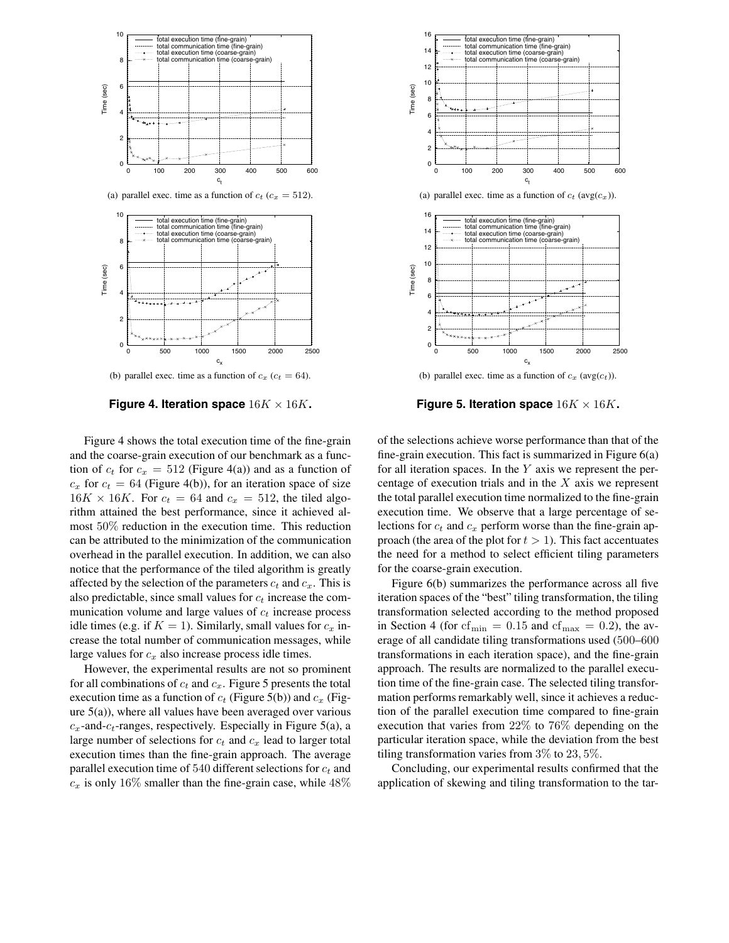

(b) parallel exec. time as a function of  $c_x$  ( $c_t = 64$ ).

**Figure 4. Iteration space**  $16K \times 16K$ .

Figure 4 shows the total execution time of the fine-grain and the coarse-grain execution of our benchmark as a function of  $c_t$  for  $c_x = 512$  (Figure 4(a)) and as a function of  $c_x$  for  $c_t = 64$  (Figure 4(b)), for an iteration space of size  $16K \times 16K$ . For  $c_t = 64$  and  $c_x = 512$ , the tiled algorithm attained the best performance, since it achieved almost 50% reduction in the execution time. This reduction can be attributed to the minimization of the communication overhead in the parallel execution. In addition, we can also notice that the performance of the tiled algorithm is greatly affected by the selection of the parameters  $c_t$  and  $c_x$ . This is also predictable, since small values for  $c_t$  increase the communication volume and large values of  $c_t$  increase process idle times (e.g. if  $K = 1$ ). Similarly, small values for  $c_x$  increase the total number of communication messages, while large values for  $c_x$  also increase process idle times.

However, the experimental results are not so prominent for all combinations of  $c_t$  and  $c_x$ . Figure 5 presents the total execution time as a function of  $c_t$  (Figure 5(b)) and  $c_x$  (Figure  $5(a)$ ), where all values have been averaged over various  $c_x$ -and- $c_t$ -ranges, respectively. Especially in Figure 5(a), a large number of selections for  $c_t$  and  $c_x$  lead to larger total execution times than the fine-grain approach. The average parallel execution time of 540 different selections for  $c_t$  and  $c_x$  is only 16% smaller than the fine-grain case, while 48%



**Figure 5. Iteration space**  $16K \times 16K$ .

of the selections achieve worse performance than that of the fine-grain execution. This fact is summarized in Figure 6(a) for all iteration spaces. In the  $Y$  axis we represent the percentage of execution trials and in the  $X$  axis we represent the total parallel execution time normalized to the fine-grain execution time. We observe that a large percentage of selections for  $c_t$  and  $c_x$  perform worse than the fine-grain approach (the area of the plot for  $t > 1$ ). This fact accentuates the need for a method to select efficient tiling parameters for the coarse-grain execution.

Figure 6(b) summarizes the performance across all five iteration spaces of the "best" tiling transformation, the tiling transformation selected according to the method proposed in Section 4 (for  $cf_{\text{min}} = 0.15$  and  $cf_{\text{max}} = 0.2$ ), the average of all candidate tiling transformations used (500–600 transformations in each iteration space), and the fine-grain approach. The results are normalized to the parallel execution time of the fine-grain case. The selected tiling transformation performs remarkably well, since it achieves a reduction of the parallel execution time compared to fine-grain execution that varies from 22% to 76% depending on the particular iteration space, while the deviation from the best tiling transformation varies from 3% to 23, 5%.

Concluding, our experimental results confirmed that the application of skewing and tiling transformation to the tar-